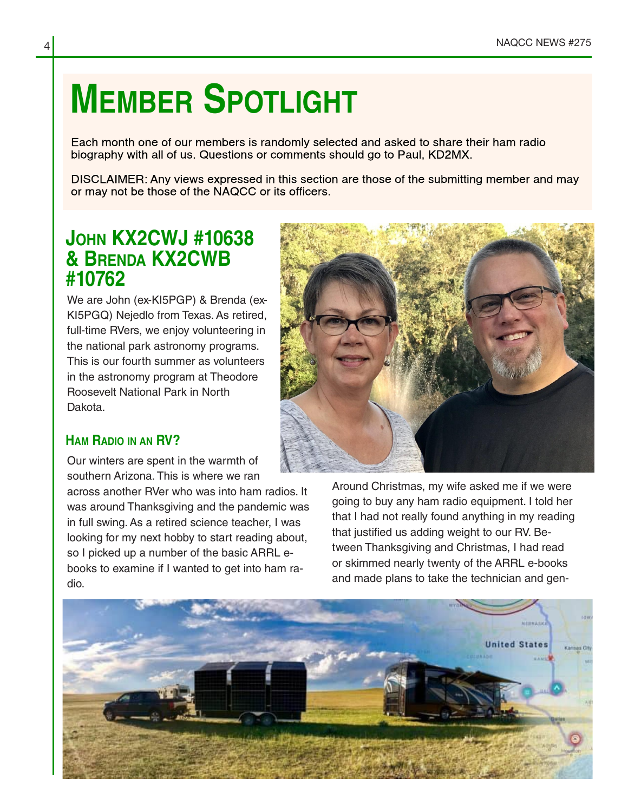# **MEMBER SPOTLIGHT**

Each month one of our members is randomly selected and asked to share their ham radio biography with all of us. Questions or comments should go to Paul, KD2MX.

DISCLAIMER: Any views expressed in this section are those of the submitting member and may or may not be those of the NAQCC or its officers.

## **JOHN KX2CWJ #10638 & BRENDA KX2CWB #10762**

We are John (ex-KI5PGP) & Brenda (ex-KI5PGQ) Nejedlo from Texas. As retired, full-time RVers, we enjoy volunteering in the national park astronomy programs. This is our fourth summer as volunteers in the astronomy program at Theodore Roosevelt National Park in North Dakota.

### **HAM RADIO IN AN RV?**

Our winters are spent in the warmth of southern Arizona. This is where we ran

across another RVer who was into ham radios. It was around Thanksgiving and the pandemic was in full swing. As a retired science teacher, I was looking for my next hobby to start reading about, so I picked up a number of the basic ARRL ebooks to examine if I wanted to get into ham ra‐ dio.



Around Christmas, my wife asked me if we were going to buy any ham radio equipment. I told her that I had not really found anything in my reading that justified us adding weight to our RV. Be‐ tween Thanksgiving and Christmas, I had read or skimmed nearly twenty of the ARRL e-books and made plans to take the technician and gen‐